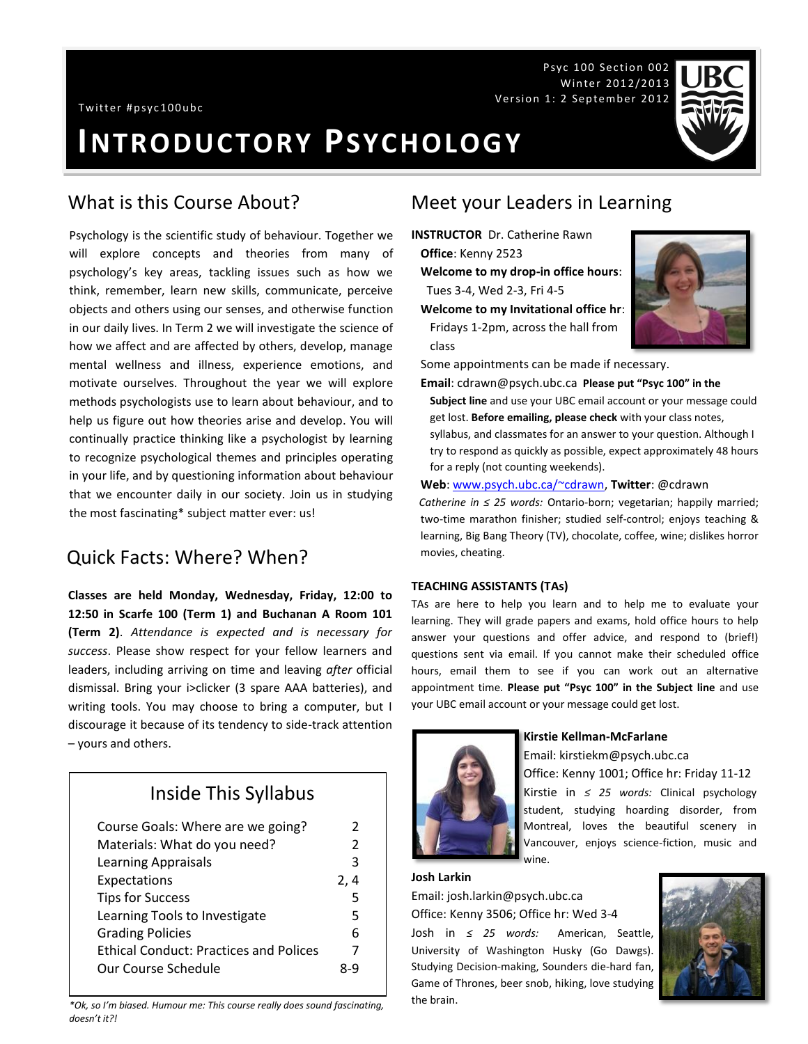Psyc 100 Section 002 Winter 2012/2013 Version 1: 2 September 2012

# **INTRODUCTORY PSYCHOLOGY**

Psychology is the scientific study of behaviour. Together we will explore concepts and theories from many of psychology's key areas, tackling issues such as how we think, remember, learn new skills, communicate, perceive objects and others using our senses, and otherwise function in our daily lives. In Term 2 we will investigate the science of how we affect and are affected by others, develop, manage mental wellness and illness, experience emotions, and motivate ourselves. Throughout the year we will explore methods psychologists use to learn about behaviour, and to help us figure out how theories arise and develop. You will continually practice thinking like a psychologist by learning to recognize psychological themes and principles operating in your life, and by questioning information about behaviour that we encounter daily in our society. Join us in studying the most fascinating\* subject matter ever: us!

#### Quick Facts: Where? When?

**Classes are held Monday, Wednesday, Friday, 12:00 to 12:50 in Scarfe 100 (Term 1) and Buchanan A Room 101 (Term 2)**. *Attendance is expected and is necessary for success*. Please show respect for your fellow learners and leaders, including arriving on time and leaving *after* official dismissal. Bring your i>clicker (3 spare AAA batteries), and writing tools. You may choose to bring a computer, but I discourage it because of its tendency to side-track attention – yours and others.

## Inside This Syllabus

| Course Goals: Where are we going?             | 2             |
|-----------------------------------------------|---------------|
| Materials: What do you need?                  | $\mathcal{P}$ |
| <b>Learning Appraisals</b>                    | 3             |
| Expectations                                  | 2,4           |
| <b>Tips for Success</b>                       | 5             |
| Learning Tools to Investigate                 | 5             |
| <b>Grading Policies</b>                       | 6             |
| <b>Ethical Conduct: Practices and Polices</b> | 7             |
| Our Course Schedule                           | 8-9           |
|                                               |               |

*\*Ok, so I'm biased. Humour me: This course really does sound fascinating, doesn't it?!*

#### What is this Course About? Meet your Leaders in Learning

- **INSTRUCTOR** Dr. Catherine Rawn
- **Office**: Kenny 2523

class

- **Welcome to my drop-in office hours**: Tues 3-4, Wed 2-3, Fri 4-5
- **Welcome to my Invitational office hr**:
- Fridays 1-2pm, across the hall from



Some appointments can be made if necessary.

- **Email**: cdrawn@psych.ubc.ca **Please put "Psyc 100" in the** 
	- **Subject line** and use your UBC email account or your message could get lost. **Before emailing, please check** with your class notes,
- syllabus, and classmates for an answer to your question. Although I try to respond as quickly as possible, expect approximately 48 hours for a reply (not counting weekends).

#### **Web**[: www.psych.ubc.ca/~cdrawn,](http://www.psych.ubc.ca/~cdrawn) **Twitter**: @cdrawn

*Catherine in ≤ 25 words:* Ontario-born; vegetarian; happily married; two-time marathon finisher; studied self-control; enjoys teaching & learning, Big Bang Theory (TV), chocolate, coffee, wine; dislikes horror movies, cheating.

#### **TEACHING ASSISTANTS (TAs)**

TAs are here to help you learn and to help me to evaluate your learning. They will grade papers and exams, hold office hours to help answer your questions and offer advice, and respond to (brief!) questions sent via email. If you cannot make their scheduled office hours, email them to see if you can work out an alternative appointment time. **Please put "Psyc 100" in the Subject line** and use your UBC email account or your message could get lost.



#### **Kirstie Kellman-McFarlane**

Email: kirstiekm@psych.ubc.ca Office: Kenny 1001; Office hr: Friday 11-12 Kirstie in *≤ 25 words:* Clinical psychology student, studying hoarding disorder, from Montreal, loves the beautiful scenery in

Vancouver, enjoys science-fiction, music and wine.

#### **Josh Larkin**

Email: josh.larkin@psych.ubc.ca Office: Kenny 3506; Office hr: Wed 3-4

Josh in *≤ 25 words:* American, Seattle, University of Washington Husky (Go Dawgs). Studying Decision-making, Sounders die-hard fan, Game of Thrones, beer snob, hiking, love studying the brain.

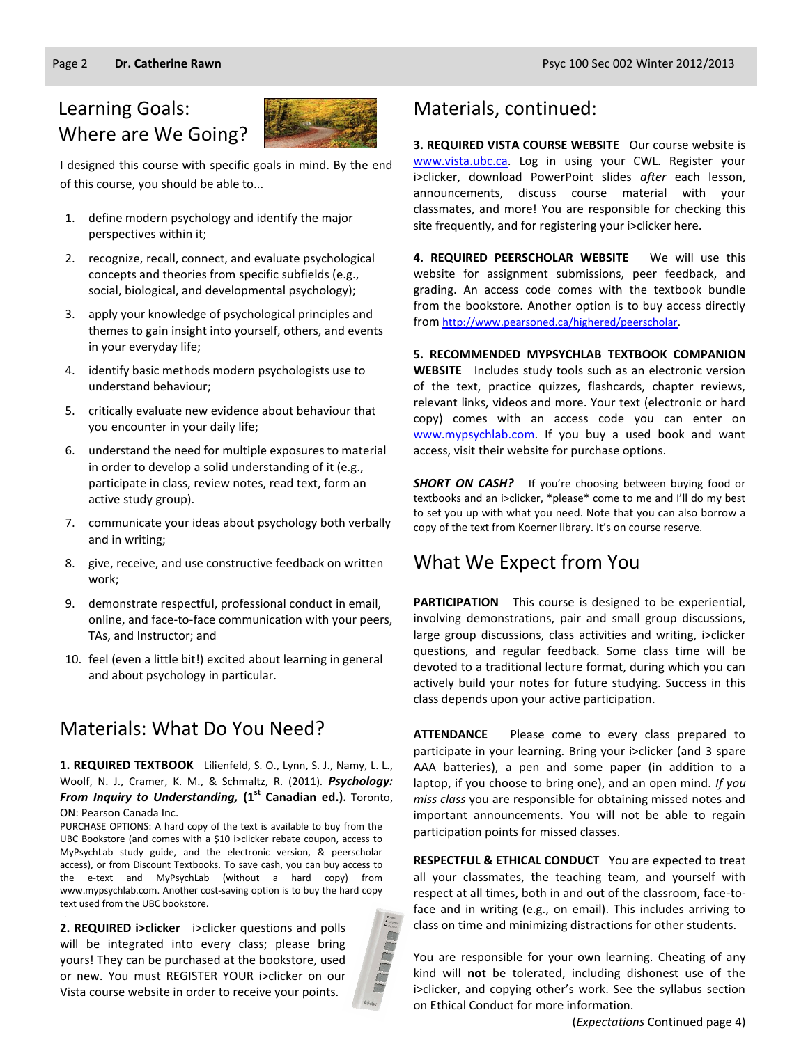## Learning Goals: Where are We Going?



I designed this course with specific goals in mind. By the end of this course, you should be able to...

- 1. define modern psychology and identify the major perspectives within it;
- 2. recognize, recall, connect, and evaluate psychological concepts and theories from specific subfields (e.g., social, biological, and developmental psychology);
- 3. apply your knowledge of psychological principles and themes to gain insight into yourself, others, and events in your everyday life;
- 4. identify basic methods modern psychologists use to understand behaviour;
- 5. critically evaluate new evidence about behaviour that you encounter in your daily life;
- 6. understand the need for multiple exposures to material in order to develop a solid understanding of it (e.g., participate in class, review notes, read text, form an active study group).
- 7. communicate your ideas about psychology both verbally and in writing;
- 8. give, receive, and use constructive feedback on written work;
- 9. demonstrate respectful, professional conduct in email, online, and face-to-face communication with your peers, TAs, and Instructor; and
- 10. feel (even a little bit!) excited about learning in general and about psychology in particular.

## Materials: What Do You Need?

#### **1. REQUIRED TEXTBOOK** Lilienfeld, S. O., Lynn, S. J., Namy, L. L., Woolf, N. J., Cramer, K. M., & Schmaltz, R. (2011). *Psychology: From Inquiry to Understanding,* **(1st Canadian ed.).** Toronto, ON: Pearson Canada Inc.

PURCHASE OPTIONS: A hard copy of the text is available to buy from the UBC Bookstore (and comes with a \$10 i>clicker rebate coupon, access to MyPsychLab study guide, and the electronic version, & peerscholar access), or from Discount Textbooks. To save cash, you can buy access to the e-text and MyPsychLab (without a hard copy) from www.mypsychlab.com. Another cost-saving option is to buy the hard copy text used from the UBC bookstore.

**2. REQUIRED i>clicker** i>clicker questions and polls will be integrated into every class; please bring yours! They can be purchased at the bookstore, used or new. You must REGISTER YOUR i>clicker on our Vista course website in order to receive your points.

.



## Materials, continued:

**3. REQUIRED VISTA COURSE WEBSITE** Our course website is [www.vista.ubc.ca.](http://www.vista.ubc.ca/) Log in using your CWL. Register your i>clicker, download PowerPoint slides *after* each lesson, announcements, discuss course material with your classmates, and more! You are responsible for checking this site frequently, and for registering your i>clicker here.

**4. REQUIRED PEERSCHOLAR WEBSITE** We will use this website for assignment submissions, peer feedback, and grading. An access code comes with the textbook bundle from the bookstore. Another option is to buy access directly from [http://www.pearsoned.ca/highered/peerscholar.](http://www.pearsoned.ca/highered/peerscholar)

**5. RECOMMENDED MYPSYCHLAB TEXTBOOK COMPANION WEBSITE** Includes study tools such as an electronic version of the text, practice quizzes, flashcards, chapter reviews, relevant links, videos and more. Your text (electronic or hard copy) comes with an access code you can enter on [www.mypsychlab.com.](http://www.mypsychlab.com/) If you buy a used book and want access, visit their website for purchase options.

**SHORT ON CASH?** If you're choosing between buying food or textbooks and an i>clicker, \*please\* come to me and I'll do my best to set you up with what you need. Note that you can also borrow a copy of the text from Koerner library. It's on course reserve.

## What We Expect from You

**PARTICIPATION** This course is designed to be experiential, involving demonstrations, pair and small group discussions, large group discussions, class activities and writing, i>clicker questions, and regular feedback. Some class time will be devoted to a traditional lecture format, during which you can actively build your notes for future studying. Success in this class depends upon your active participation.

**ATTENDANCE** Please come to every class prepared to participate in your learning. Bring your i>clicker (and 3 spare AAA batteries), a pen and some paper (in addition to a laptop, if you choose to bring one), and an open mind. *If you miss class* you are responsible for obtaining missed notes and important announcements. You will not be able to regain participation points for missed classes.

**RESPECTFUL & ETHICAL CONDUCT** You are expected to treat all your classmates, the teaching team, and yourself with respect at all times, both in and out of the classroom, face-toface and in writing (e.g., on email). This includes arriving to class on time and minimizing distractions for other students.

You are responsible for your own learning. Cheating of any kind will **not** be tolerated, including dishonest use of the i>clicker, and copying other's work. See the syllabus section on Ethical Conduct for more information.

(*Expectations* Continued page 4)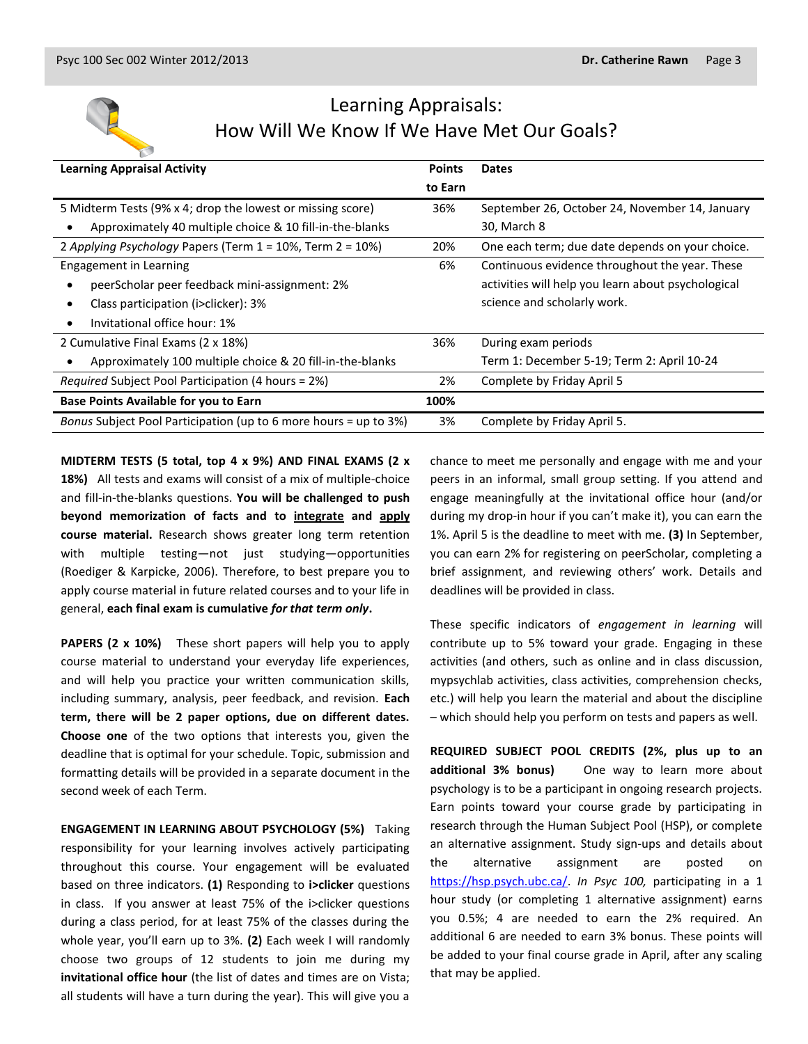

## Learning Appraisals: How Will We Know If We Have Met Our Goals?

| <b>Learning Appraisal Activity</b>                                     |         | <b>Dates</b>                                       |
|------------------------------------------------------------------------|---------|----------------------------------------------------|
|                                                                        | to Earn |                                                    |
| 5 Midterm Tests (9% x 4; drop the lowest or missing score)             | 36%     | September 26, October 24, November 14, January     |
| Approximately 40 multiple choice & 10 fill-in-the-blanks               |         | 30, March 8                                        |
| 2 Applying Psychology Papers (Term 1 = 10%, Term 2 = 10%)              | 20%     | One each term; due date depends on your choice.    |
| Engagement in Learning                                                 | 6%      | Continuous evidence throughout the year. These     |
| peerScholar peer feedback mini-assignment: 2%                          |         | activities will help you learn about psychological |
| Class participation (i>clicker): 3%                                    |         | science and scholarly work.                        |
| Invitational office hour: 1%<br>$\bullet$                              |         |                                                    |
| 2 Cumulative Final Exams (2 x 18%)                                     | 36%     | During exam periods                                |
| Approximately 100 multiple choice & 20 fill-in-the-blanks<br>$\bullet$ |         | Term 1: December 5-19; Term 2: April 10-24         |
| <i>Required</i> Subject Pool Participation (4 hours = 2%)              | 2%      | Complete by Friday April 5                         |
| <b>Base Points Available for you to Earn</b>                           | 100%    |                                                    |
| Bonus Subject Pool Participation (up to 6 more hours = up to 3%)       | 3%      | Complete by Friday April 5.                        |

**MIDTERM TESTS (5 total, top 4 x 9%) AND FINAL EXAMS (2 x 18%)** All tests and exams will consist of a mix of multiple-choice and fill-in-the-blanks questions. **You will be challenged to push beyond memorization of facts and to integrate and apply course material.** Research shows greater long term retention with multiple testing—not just studying—opportunities (Roediger & Karpicke, 2006). Therefore, to best prepare you to apply course material in future related courses and to your life in general, **each final exam is cumulative** *for that term only***.**

**PAPERS (2 x 10%)** These short papers will help you to apply course material to understand your everyday life experiences, and will help you practice your written communication skills, including summary, analysis, peer feedback, and revision. **Each term, there will be 2 paper options, due on different dates. Choose one** of the two options that interests you, given the deadline that is optimal for your schedule. Topic, submission and formatting details will be provided in a separate document in the second week of each Term.

**ENGAGEMENT IN LEARNING ABOUT PSYCHOLOGY (5%)** Taking responsibility for your learning involves actively participating throughout this course. Your engagement will be evaluated based on three indicators. **(1)** Responding to **i>clicker** questions in class. If you answer at least 75% of the i>clicker questions during a class period, for at least 75% of the classes during the whole year, you'll earn up to 3%. **(2)** Each week I will randomly choose two groups of 12 students to join me during my **invitational office hour** (the list of dates and times are on Vista; all students will have a turn during the year). This will give you a chance to meet me personally and engage with me and your peers in an informal, small group setting. If you attend and engage meaningfully at the invitational office hour (and/or during my drop-in hour if you can't make it), you can earn the 1%. April 5 is the deadline to meet with me. **(3)** In September, you can earn 2% for registering on peerScholar, completing a brief assignment, and reviewing others' work. Details and deadlines will be provided in class.

These specific indicators of *engagement in learning* will contribute up to 5% toward your grade. Engaging in these activities (and others, such as online and in class discussion, mypsychlab activities, class activities, comprehension checks, etc.) will help you learn the material and about the discipline – which should help you perform on tests and papers as well.

**REQUIRED SUBJECT POOL CREDITS (2%, plus up to an additional 3% bonus)** One way to learn more about psychology is to be a participant in ongoing research projects. Earn points toward your course grade by participating in research through the Human Subject Pool (HSP), or complete an alternative assignment. Study sign-ups and details about the alternative assignment are posted on [https://hsp.psych.ubc.ca/.](https://hsp.psych.ubc.ca/) *In Psyc 100,* participating in a 1 hour study (or completing 1 alternative assignment) earns you 0.5%; 4 are needed to earn the 2% required. An additional 6 are needed to earn 3% bonus. These points will be added to your final course grade in April, after any scaling that may be applied.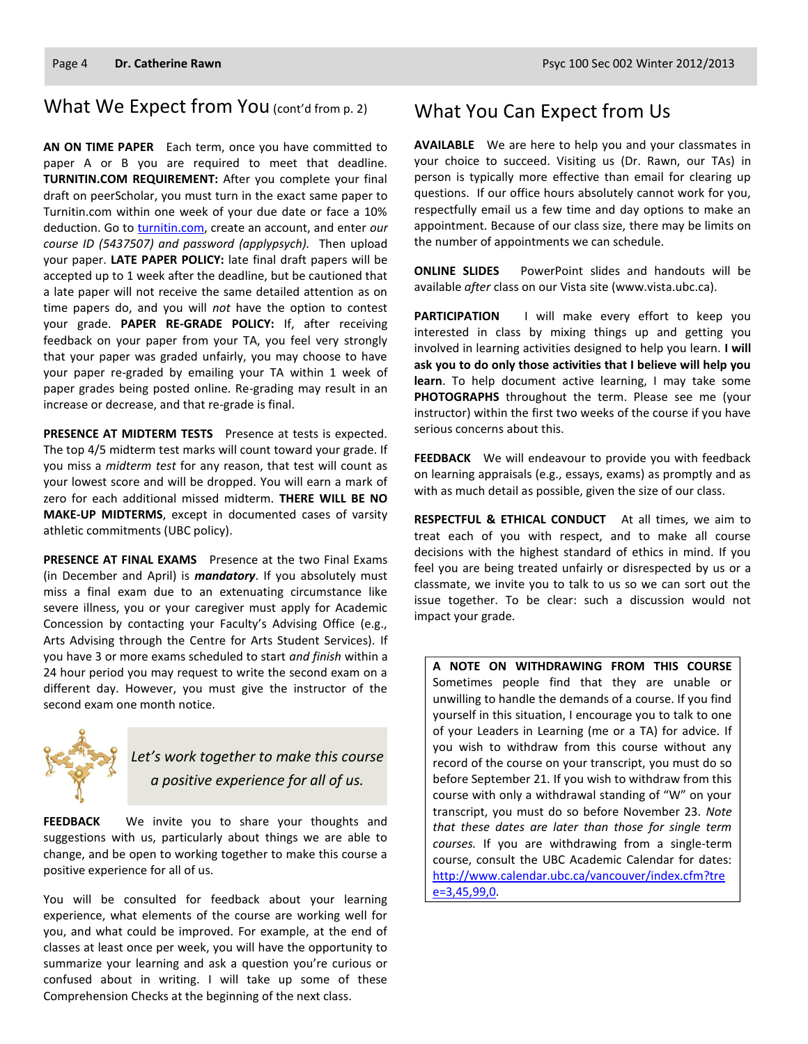#### What We Expect from You (cont'd from p. 2)

**AN ON TIME PAPER** Each term, once you have committed to paper A or B you are required to meet that deadline. **TURNITIN.COM REQUIREMENT:** After you complete your final draft on peerScholar, you must turn in the exact same paper to Turnitin.com within one week of your due date or face a 10% deduction. Go to [turnitin.com,](http://www.turnitin.com/) create an account, and enter *our course ID (5437507) and password (applypsych).* Then upload your paper. **LATE PAPER POLICY:** late final draft papers will be accepted up to 1 week after the deadline, but be cautioned that a late paper will not receive the same detailed attention as on time papers do, and you will *not* have the option to contest your grade. **PAPER RE-GRADE POLICY:** If, after receiving feedback on your paper from your TA, you feel very strongly that your paper was graded unfairly, you may choose to have your paper re-graded by emailing your TA within 1 week of paper grades being posted online. Re-grading may result in an increase or decrease, and that re-grade is final.

**PRESENCE AT MIDTERM TESTS** Presence at tests is expected. The top 4/5 midterm test marks will count toward your grade. If you miss a *midterm test* for any reason, that test will count as your lowest score and will be dropped. You will earn a mark of zero for each additional missed midterm. **THERE WILL BE NO MAKE-UP MIDTERMS**, except in documented cases of varsity athletic commitments (UBC policy).

**PRESENCE AT FINAL EXAMS** Presence at the two Final Exams (in December and April) is *mandatory*. If you absolutely must miss a final exam due to an extenuating circumstance like severe illness, you or your caregiver must apply for Academic Concession by contacting your Faculty's Advising Office (e.g., Arts Advising through the Centre for Arts Student Services). If you have 3 or more exams scheduled to start *and finish* within a 24 hour period you may request to write the second exam on a different day. However, you must give the instructor of the second exam one month notice.



*Let's work together to make this course a positive experience for all of us.*

**FEEDBACK** We invite you to share your thoughts and suggestions with us, particularly about things we are able to change, and be open to working together to make this course a positive experience for all of us.

You will be consulted for feedback about your learning experience, what elements of the course are working well for you, and what could be improved. For example, at the end of classes at least once per week, you will have the opportunity to summarize your learning and ask a question you're curious or confused about in writing. I will take up some of these Comprehension Checks at the beginning of the next class.

#### What You Can Expect from Us

**AVAILABLE** We are here to help you and your classmates in your choice to succeed. Visiting us (Dr. Rawn, our TAs) in person is typically more effective than email for clearing up questions. If our office hours absolutely cannot work for you, respectfully email us a few time and day options to make an appointment. Because of our class size, there may be limits on the number of appointments we can schedule.

**ONLINE SLIDES** PowerPoint slides and handouts will be available *after* class on our Vista site (www.vista.ubc.ca).

**PARTICIPATION** I will make every effort to keep you interested in class by mixing things up and getting you involved in learning activities designed to help you learn. **I will ask you to do only those activities that I believe will help you learn**. To help document active learning, I may take some **PHOTOGRAPHS** throughout the term. Please see me (your instructor) within the first two weeks of the course if you have serious concerns about this.

**FEEDBACK** We will endeavour to provide you with feedback on learning appraisals (e.g., essays, exams) as promptly and as with as much detail as possible, given the size of our class.

**RESPECTFUL & ETHICAL CONDUCT** At all times, we aim to treat each of you with respect, and to make all course decisions with the highest standard of ethics in mind. If you feel you are being treated unfairly or disrespected by us or a classmate, we invite you to talk to us so we can sort out the issue together. To be clear: such a discussion would not impact your grade.

**A NOTE ON WITHDRAWING FROM THIS COURSE**  Sometimes people find that they are unable or unwilling to handle the demands of a course. If you find yourself in this situation, I encourage you to talk to one of your Leaders in Learning (me or a TA) for advice. If you wish to withdraw from this course without any record of the course on your transcript, you must do so before September 21. If you wish to withdraw from this course with only a withdrawal standing of "W" on your transcript, you must do so before November 23. *Note that these dates are later than those for single term courses.* If you are withdrawing from a single-term course, consult the UBC Academic Calendar for dates: [http://www.calendar.ubc.ca/vancouver/index.cfm?tre](http://www.calendar.ubc.ca/vancouver/index.cfm?tree=3,45,99,0) [e=3,45,99,0.](http://www.calendar.ubc.ca/vancouver/index.cfm?tree=3,45,99,0)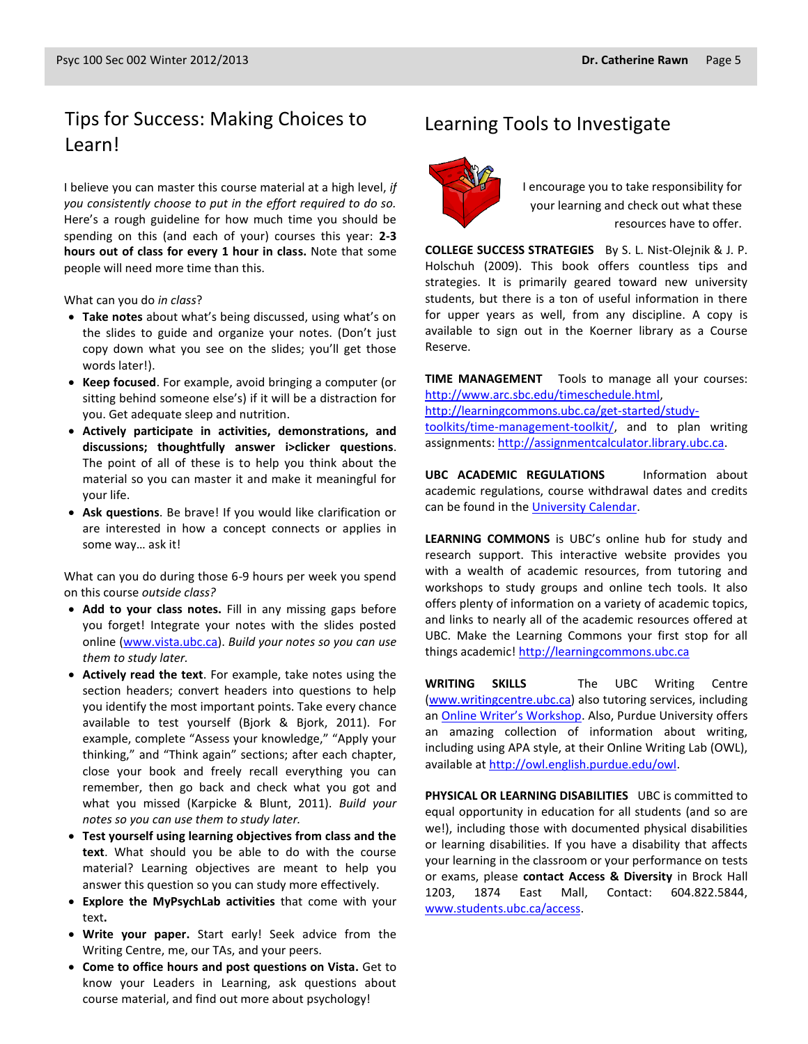## Tips for Success: Making Choices to Learning Tools to Investigate Learn!

I believe you can master this course material at a high level, *if you consistently choose to put in the effort required to do so.* Here's a rough guideline for how much time you should be spending on this (and each of your) courses this year: **2-3 hours out of class for every 1 hour in class.** Note that some people will need more time than this.

What can you do *in class*?

- **Take notes** about what's being discussed, using what's on the slides to guide and organize your notes. (Don't just copy down what you see on the slides; you'll get those words later!).
- **Keep focused**. For example, avoid bringing a computer (or sitting behind someone else's) if it will be a distraction for you. Get adequate sleep and nutrition.
- **Actively participate in activities, demonstrations, and discussions; thoughtfully answer i>clicker questions**. The point of all of these is to help you think about the material so you can master it and make it meaningful for your life.
- **Ask questions**. Be brave! If you would like clarification or are interested in how a concept connects or applies in some way… ask it!

What can you do during those 6-9 hours per week you spend on this course *outside class?*

- **Add to your class notes.** Fill in any missing gaps before you forget! Integrate your notes with the slides posted online [\(www.vista.ubc.ca\)](http://www.vista.ubc.ca/). *Build your notes so you can use them to study later.*
- **Actively read the text**. For example, take notes using the section headers; convert headers into questions to help you identify the most important points. Take every chance available to test yourself (Bjork & Bjork, 2011). For example, complete "Assess your knowledge," "Apply your thinking," and "Think again" sections; after each chapter, close your book and freely recall everything you can remember, then go back and check what you got and what you missed (Karpicke & Blunt, 2011). *Build your notes so you can use them to study later.*
- **Test yourself using learning objectives from class and the text**. What should you be able to do with the course material? Learning objectives are meant to help you answer this question so you can study more effectively.
- **Explore the MyPsychLab activities** that come with your text**.**
- **Write your paper.** Start early! Seek advice from the Writing Centre, me, our TAs, and your peers.
- **Come to office hours and post questions on Vista.** Get to know your Leaders in Learning, ask questions about course material, and find out more about psychology!



I encourage you to take responsibility for your learning and check out what these resources have to offer.

**COLLEGE SUCCESS STRATEGIES** By S. L. Nist-Olejnik & J. P. Holschuh (2009). This book offers countless tips and strategies. It is primarily geared toward new university students, but there is a ton of useful information in there for upper years as well, from any discipline. A copy is available to sign out in the Koerner library as a Course Reserve.

**TIME MANAGEMENT** Tools to manage all your courses: [http://www.arc.sbc.edu/timeschedule.html,](http://www.arc.sbc.edu/timeschedule.html) [http://learningcommons.ubc.ca/get-started/study](http://learningcommons.ubc.ca/get-started/study-toolkits/time-management-toolkit/)[toolkits/time-management-toolkit/,](http://learningcommons.ubc.ca/get-started/study-toolkits/time-management-toolkit/) and to plan writing assignments[: http://assignmentcalculator.library.ubc.ca.](http://assignmentcalculator.library.ubc.ca/)

**UBC ACADEMIC REGULATIONS** Information about academic regulations, course withdrawal dates and credits can be found in th[e University Calendar.](http://students.ubc.ca/calendar/academicyear.cfm)

**LEARNING COMMONS** is UBC's online hub for study and research support. This interactive website provides you with a wealth of academic resources, from tutoring and workshops to study groups and online tech tools. It also offers plenty of information on a variety of academic topics, and links to nearly all of the academic resources offered at UBC. Make the Learning Commons your first stop for all things academic! [http://learningcommons.ubc.ca](http://learningcommons.ubc.ca/)

**WRITING SKILLS** The UBC Writing Centre [\(www.writingcentre.ubc.ca\)](http://www.writingcentre.ubc.ca/) also tutoring services, including an [Online Writer's Workshop](http://www.writingcentre.ubc.ca/workshop/index.html). Also, Purdue University offers an amazing collection of information about writing, including using APA style, at their Online Writing Lab (OWL), available at [http://owl.english.purdue.edu/owl.](http://owl.english.purdue.edu/owl/)

**PHYSICAL OR LEARNING DISABILITIES** UBC is committed to equal opportunity in education for all students (and so are we!), including those with documented physical disabilities or learning disabilities. If you have a disability that affects your learning in the classroom or your performance on tests or exams, please **contact Access & Diversity** in Brock Hall 1203, 1874 East Mall, Contact: 604.822.5844, [www.students.ubc.ca/access.](http://www.students.ubc.ca/access)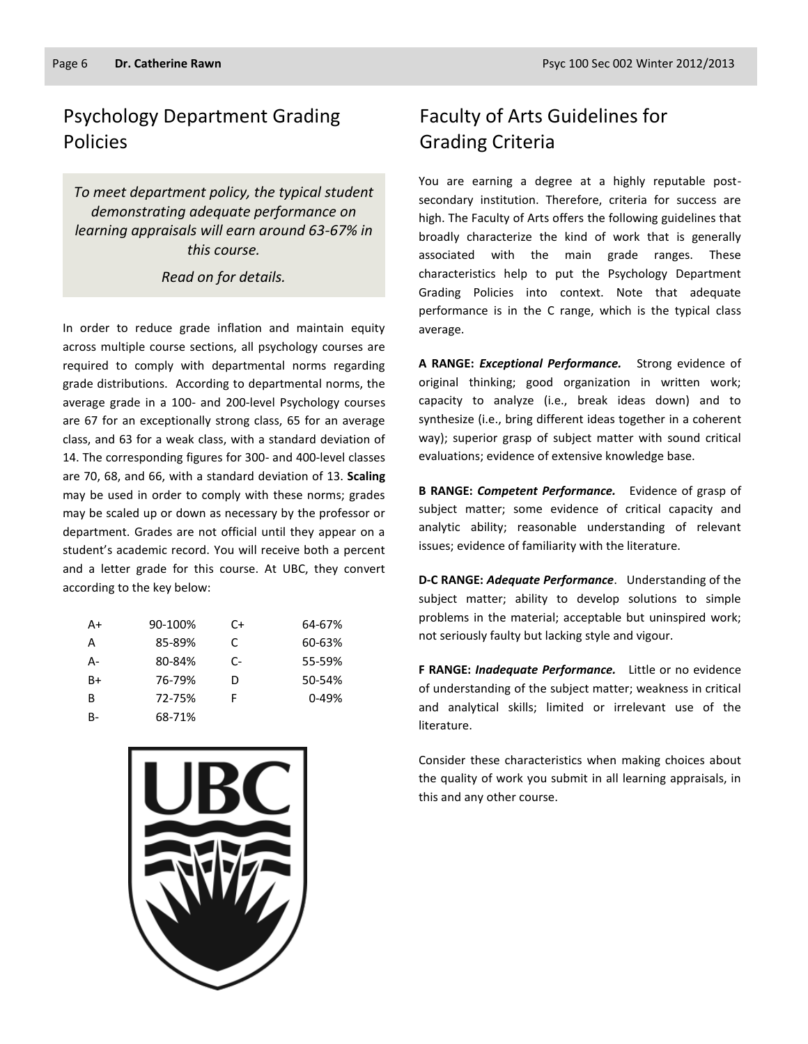## Psychology Department Grading Policies

*To meet department policy, the typical student demonstrating adequate performance on learning appraisals will earn around 63-67% in this course.* 

#### *Read on for details.*

In order to reduce grade inflation and maintain equity across multiple course sections, all psychology courses are required to comply with departmental norms regarding grade distributions. According to departmental norms, the average grade in a 100- and 200-level Psychology courses are 67 for an exceptionally strong class, 65 for an average class, and 63 for a weak class, with a standard deviation of 14. The corresponding figures for 300- and 400-level classes are 70, 68, and 66, with a standard deviation of 13. **Scaling** may be used in order to comply with these norms; grades may be scaled up or down as necessary by the professor or department. Grades are not official until they appear on a student's academic record. You will receive both a percent and a letter grade for this course. At UBC, they convert according to the key below:

| A+    | 90-100% | C+   | 64-67%    |
|-------|---------|------|-----------|
| A     | 85-89%  | C    | 60-63%    |
| А-    | 80-84%  | $C-$ | 55-59%    |
| $B+$  | 76-79%  | D    | 50-54%    |
| B     | 72-75%  | F    | $0 - 49%$ |
| $B -$ | 68-71%  |      |           |



## Faculty of Arts Guidelines for Grading Criteria

You are earning a degree at a highly reputable postsecondary institution. Therefore, criteria for success are high. The Faculty of Arts offers the following guidelines that broadly characterize the kind of work that is generally associated with the main grade ranges. These characteristics help to put the Psychology Department Grading Policies into context. Note that adequate performance is in the C range, which is the typical class average.

**A RANGE:** *Exceptional Performance.* Strong evidence of original thinking; good organization in written work; capacity to analyze (i.e., break ideas down) and to synthesize (i.e., bring different ideas together in a coherent way); superior grasp of subject matter with sound critical evaluations; evidence of extensive knowledge base.

**B RANGE:** *Competent Performance.* Evidence of grasp of subject matter; some evidence of critical capacity and analytic ability; reasonable understanding of relevant issues; evidence of familiarity with the literature.

**D-C RANGE:** *Adequate Performance*. Understanding of the subject matter; ability to develop solutions to simple problems in the material; acceptable but uninspired work; not seriously faulty but lacking style and vigour.

**F RANGE:** *Inadequate Performance.* Little or no evidence of understanding of the subject matter; weakness in critical and analytical skills; limited or irrelevant use of the literature.

Consider these characteristics when making choices about the quality of work you submit in all learning appraisals, in this and any other course.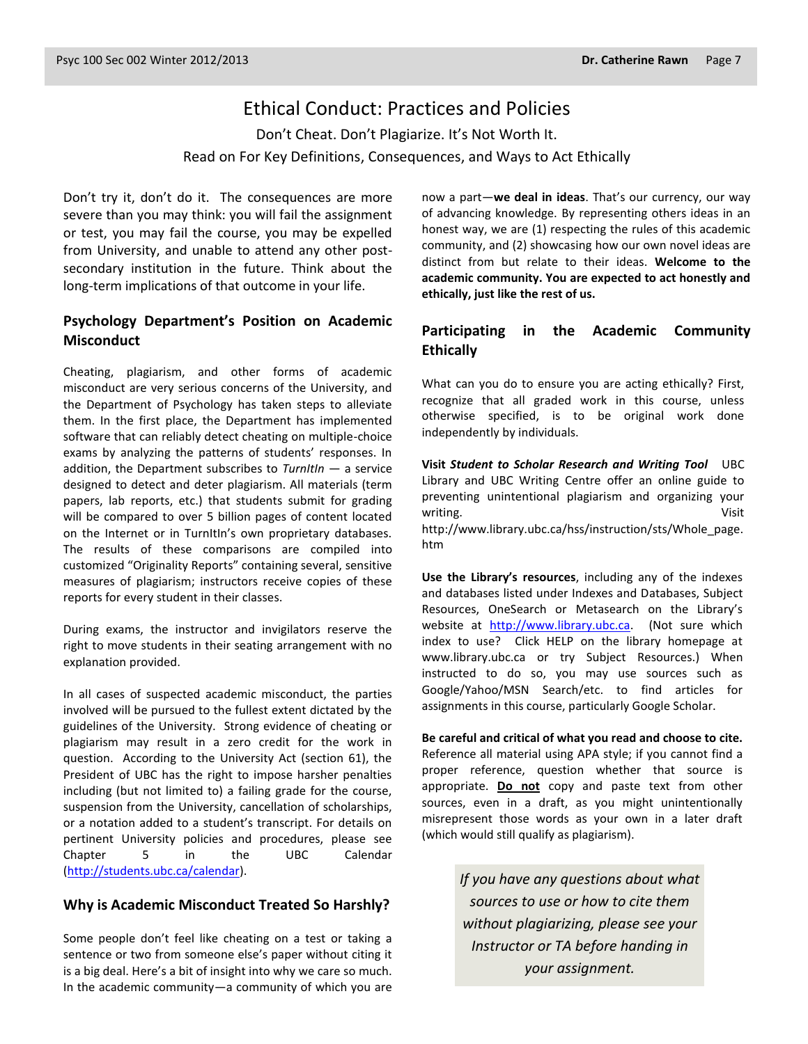### Ethical Conduct: Practices and Policies

Don't Cheat. Don't Plagiarize. It's Not Worth It. Read on For Key Definitions, Consequences, and Ways to Act Ethically

Don't try it, don't do it. The consequences are more severe than you may think: you will fail the assignment or test, you may fail the course, you may be expelled from University, and unable to attend any other postsecondary institution in the future. Think about the long-term implications of that outcome in your life.

#### **Psychology Department's Position on Academic Misconduct**

Cheating, plagiarism, and other forms of academic misconduct are very serious concerns of the University, and the Department of Psychology has taken steps to alleviate them. In the first place, the Department has implemented software that can reliably detect cheating on multiple-choice exams by analyzing the patterns of students' responses. In addition, the Department subscribes to *TurnItIn* — a service designed to detect and deter plagiarism. All materials (term papers, lab reports, etc.) that students submit for grading will be compared to over 5 billion pages of content located on the Internet or in TurnItIn's own proprietary databases. The results of these comparisons are compiled into customized "Originality Reports" containing several, sensitive measures of plagiarism; instructors receive copies of these reports for every student in their classes.

During exams, the instructor and invigilators reserve the right to move students in their seating arrangement with no explanation provided.

In all cases of suspected academic misconduct, the parties involved will be pursued to the fullest extent dictated by the guidelines of the University. Strong evidence of cheating or plagiarism may result in a zero credit for the work in question. According to the University Act (section 61), the President of UBC has the right to impose harsher penalties including (but not limited to) a failing grade for the course, suspension from the University, cancellation of scholarships, or a notation added to a student's transcript. For details on pertinent University policies and procedures, please see Chapter 5 in the UBC Calendar [\(http://students.ubc.ca/calendar\)](http://students.ubc.ca/calendar).

#### **Why is Academic Misconduct Treated So Harshly?**

Some people don't feel like cheating on a test or taking a sentence or two from someone else's paper without citing it is a big deal. Here's a bit of insight into why we care so much. In the academic community—a community of which you are now a part—**we deal in ideas**. That's our currency, our way of advancing knowledge. By representing others ideas in an honest way, we are (1) respecting the rules of this academic community, and (2) showcasing how our own novel ideas are distinct from but relate to their ideas. **Welcome to the academic community. You are expected to act honestly and ethically, just like the rest of us.**

#### **Participating in the Academic Community Ethically**

What can you do to ensure you are acting ethically? First, recognize that all graded work in this course, unless otherwise specified, is to be original work done independently by individuals.

**Visit** *Student to Scholar Research and Writing Tool* UBC Library and UBC Writing Centre offer an online guide to preventing unintentional plagiarism and organizing your writing. Visit http://www.library.ubc.ca/hss/instruction/sts/Whole\_page. htm

**Use the Library's resources**, including any of the indexes and databases listed under Indexes and Databases, Subject Resources, OneSearch or Metasearch on the Library's website at [http://www.library.ubc.ca.](http://www.library.ubc.ca/) (Not sure which index to use? Click HELP on the library homepage at www.library.ubc.ca or try Subject Resources.) When instructed to do so, you may use sources such as Google/Yahoo/MSN Search/etc. to find articles for assignments in this course, particularly Google Scholar.

**Be careful and critical of what you read and choose to cite.** Reference all material using APA style; if you cannot find a proper reference, question whether that source is appropriate. **Do not** copy and paste text from other sources, even in a draft, as you might unintentionally misrepresent those words as your own in a later draft (which would still qualify as plagiarism).

> *If you have any questions about what sources to use or how to cite them without plagiarizing, please see your Instructor or TA before handing in your assignment.*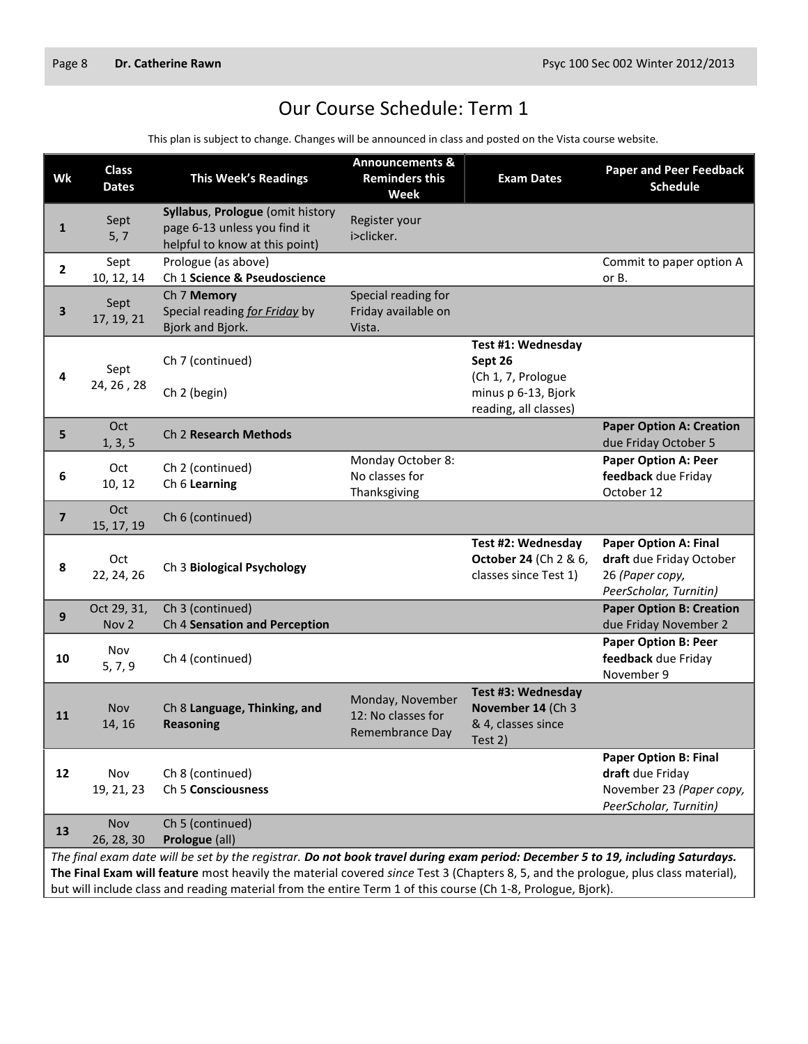## Our Course Schedule: Term 1

This plan is subject to change. Changes will be announced in class and posted on the Vista course website.

| Wk                      | <b>Class</b><br><b>Dates</b>                                                                                                                                                                                                                                                                                                                                                          | <b>This Week's Readings</b>                                                                        | <b>Announcements &amp;</b><br><b>Reminders this</b><br><b>Week</b> | <b>Exam Dates</b>                                                          | <b>Paper and Peer Feedback</b><br><b>Schedule</b>                                                      |
|-------------------------|---------------------------------------------------------------------------------------------------------------------------------------------------------------------------------------------------------------------------------------------------------------------------------------------------------------------------------------------------------------------------------------|----------------------------------------------------------------------------------------------------|--------------------------------------------------------------------|----------------------------------------------------------------------------|--------------------------------------------------------------------------------------------------------|
| 1                       | Sept<br>5, 7                                                                                                                                                                                                                                                                                                                                                                          | Syllabus, Prologue (omit history<br>page 6-13 unless you find it<br>helpful to know at this point) | Register your<br>i>clicker.                                        |                                                                            |                                                                                                        |
| $\overline{2}$          | Sept<br>10, 12, 14                                                                                                                                                                                                                                                                                                                                                                    | Prologue (as above)<br>Ch 1 Science & Pseudoscience                                                |                                                                    |                                                                            | Commit to paper option A<br>or B.                                                                      |
| 3                       | Sept<br>17, 19, 21                                                                                                                                                                                                                                                                                                                                                                    | Ch 7 Memory<br>Special reading for Friday by<br>Bjork and Bjork.                                   | Special reading for<br>Friday available on<br>Vista.               |                                                                            |                                                                                                        |
| 4                       | Sept<br>24, 26, 28                                                                                                                                                                                                                                                                                                                                                                    | Ch 7 (continued)<br>Ch 2 (begin)                                                                   |                                                                    | Test #1: Wednesday<br>Sept 26<br>(Ch 1, 7, Prologue<br>minus p 6-13, Bjork |                                                                                                        |
|                         | Oct                                                                                                                                                                                                                                                                                                                                                                                   | Ch 2 Research Methods                                                                              |                                                                    | reading, all classes)                                                      | <b>Paper Option A: Creation</b>                                                                        |
| 5                       | 1, 3, 5                                                                                                                                                                                                                                                                                                                                                                               |                                                                                                    |                                                                    |                                                                            | due Friday October 5                                                                                   |
| 6                       | Oct<br>10, 12                                                                                                                                                                                                                                                                                                                                                                         | Ch 2 (continued)<br>Ch 6 Learning                                                                  | Monday October 8:<br>No classes for<br>Thanksgiving                |                                                                            | <b>Paper Option A: Peer</b><br>feedback due Friday<br>October 12                                       |
| $\overline{\mathbf{z}}$ | Oct<br>15, 17, 19                                                                                                                                                                                                                                                                                                                                                                     | Ch 6 (continued)                                                                                   |                                                                    |                                                                            |                                                                                                        |
| 8                       | Oct<br>22, 24, 26                                                                                                                                                                                                                                                                                                                                                                     | Ch 3 Biological Psychology                                                                         |                                                                    | Test #2: Wednesday<br>October 24 (Ch 2 & 6,<br>classes since Test 1)       | <b>Paper Option A: Final</b><br>draft due Friday October<br>26 (Paper copy,<br>PeerScholar, Turnitin)  |
| 9                       | Oct 29, 31,<br>Nov <sub>2</sub>                                                                                                                                                                                                                                                                                                                                                       | Ch 3 (continued)<br>Ch 4 Sensation and Perception                                                  |                                                                    |                                                                            | <b>Paper Option B: Creation</b><br>due Friday November 2                                               |
| 10                      | Nov<br>5, 7, 9                                                                                                                                                                                                                                                                                                                                                                        | Ch 4 (continued)                                                                                   |                                                                    |                                                                            | <b>Paper Option B: Peer</b><br>feedback due Friday<br>November 9                                       |
| 11                      | <b>Nov</b><br>14, 16                                                                                                                                                                                                                                                                                                                                                                  | Ch 8 Language, Thinking, and<br><b>Reasoning</b>                                                   | Monday, November<br>12: No classes for<br>Remembrance Day          | Test #3: Wednesday<br>November 14 (Ch 3<br>& 4, classes since<br>Test 2)   |                                                                                                        |
| 12                      | Nov<br>19, 21, 23                                                                                                                                                                                                                                                                                                                                                                     | Ch 8 (continued)<br>Ch 5 Consciousness                                                             |                                                                    |                                                                            | <b>Paper Option B: Final</b><br>draft due Friday<br>November 23 (Paper copy,<br>PeerScholar, Turnitin) |
| 13                      | Nov<br>26, 28, 30                                                                                                                                                                                                                                                                                                                                                                     | Ch 5 (continued)<br>Prologue (all)                                                                 |                                                                    |                                                                            |                                                                                                        |
|                         | The final exam date will be set by the registrar. Do not book travel during exam period: December 5 to 19, including Saturdays.<br>The Final Exam will feature most heavily the material covered since Test 3 (Chapters 8, 5, and the prologue, plus class material),<br>but will include class and reading material from the entire Term 1 of this course (Ch 1-8, Prologue, Bjork). |                                                                                                    |                                                                    |                                                                            |                                                                                                        |